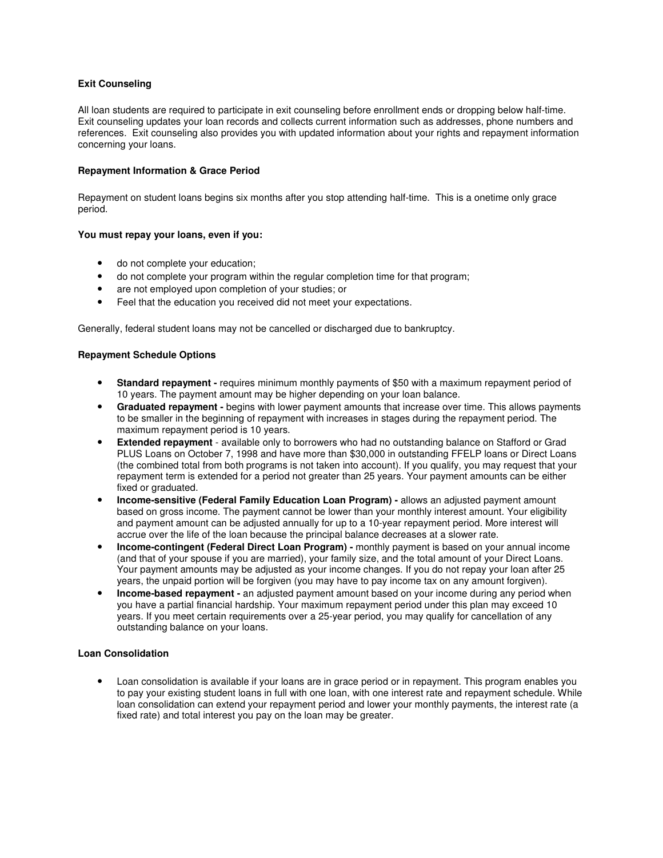# **Exit Counseling**

All loan students are required to participate in exit counseling before enrollment ends or dropping below half-time. Exit counseling updates your loan records and collects current information such as addresses, phone numbers and references. Exit counseling also provides you with updated information about your rights and repayment information concerning your loans.

## **Repayment Information & Grace Period**

Repayment on student loans begins six months after you stop attending half-time. This is a onetime only grace period.

### **You must repay your loans, even if you:**

- do not complete your education;
- do not complete your program within the regular completion time for that program;
- are not employed upon completion of your studies; or
- Feel that the education you received did not meet your expectations.

Generally, federal student loans may not be cancelled or discharged due to bankruptcy.

### **Repayment Schedule Options**

- **Standard repayment -** requires minimum monthly payments of \$50 with a maximum repayment period of 10 years. The payment amount may be higher depending on your loan balance.
- **Graduated repayment -** begins with lower payment amounts that increase over time. This allows payments to be smaller in the beginning of repayment with increases in stages during the repayment period. The maximum repayment period is 10 years.
- **Extended repayment** available only to borrowers who had no outstanding balance on Stafford or Grad PLUS Loans on October 7, 1998 and have more than \$30,000 in outstanding FFELP loans or Direct Loans (the combined total from both programs is not taken into account). If you qualify, you may request that your repayment term is extended for a period not greater than 25 years. Your payment amounts can be either fixed or graduated.
- **Income-sensitive (Federal Family Education Loan Program) -** allows an adjusted payment amount based on gross income. The payment cannot be lower than your monthly interest amount. Your eligibility and payment amount can be adjusted annually for up to a 10-year repayment period. More interest will accrue over the life of the loan because the principal balance decreases at a slower rate.
- **Income-contingent (Federal Direct Loan Program) -** monthly payment is based on your annual income (and that of your spouse if you are married), your family size, and the total amount of your Direct Loans. Your payment amounts may be adjusted as your income changes. If you do not repay your loan after 25 years, the unpaid portion will be forgiven (you may have to pay income tax on any amount forgiven).
- **Income-based repayment -** an adjusted payment amount based on your income during any period when you have a partial financial hardship. Your maximum repayment period under this plan may exceed 10 years. If you meet certain requirements over a 25-year period, you may qualify for cancellation of any outstanding balance on your loans.

# **Loan Consolidation**

• Loan consolidation is available if your loans are in grace period or in repayment. This program enables you to pay your existing student loans in full with one loan, with one interest rate and repayment schedule. While loan consolidation can extend your repayment period and lower your monthly payments, the interest rate (a fixed rate) and total interest you pay on the loan may be greater.